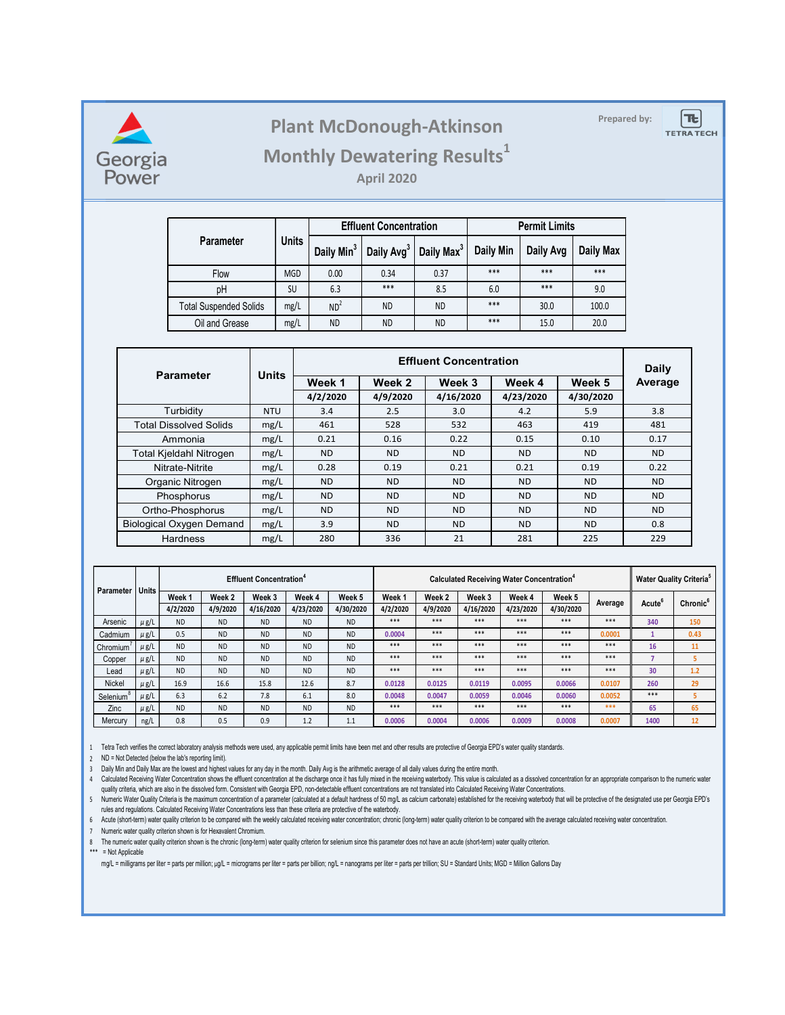

## **Prepared by: Plant McDonough-Atkinson**

 $T_{\rm{c}}$ **TETRA TECH** 

### **Monthly Dewatering Results<sup>1</sup>**

**April 2020**

|                               |              |                        | <b>Effluent Concentration</b> |                        | <b>Permit Limits</b> |           |                  |  |
|-------------------------------|--------------|------------------------|-------------------------------|------------------------|----------------------|-----------|------------------|--|
| <b>Parameter</b>              | <b>Units</b> | Daily Min <sup>3</sup> | Daily Avg <sup>3</sup>        | Daily Max <sup>3</sup> | Daily Min            | Daily Avg | <b>Daily Max</b> |  |
| Flow                          | <b>MGD</b>   | 0.00                   | 0.34                          | 0.37                   | ***                  | ***       | ***              |  |
| рH                            | SU           | 6.3                    | $***$                         | 8.5                    | 6.0                  | ***       | 9.0              |  |
| <b>Total Suspended Solids</b> | mg/L         | ND <sup>2</sup>        | <b>ND</b>                     | <b>ND</b>              | ***                  | 30.0      | 100.0            |  |
| Oil and Grease                | mg/L         | <b>ND</b>              | <b>ND</b>                     | <b>ND</b>              | ***                  | 15.0      | 20.0             |  |

| <b>Parameter</b>                | <b>Units</b> |           | Daily     |           |           |           |           |
|---------------------------------|--------------|-----------|-----------|-----------|-----------|-----------|-----------|
|                                 |              | Week 1    | Week 2    | Week 3    | Week 4    | Week 5    | Average   |
|                                 |              | 4/2/2020  | 4/9/2020  | 4/16/2020 | 4/23/2020 | 4/30/2020 |           |
| Turbidity                       | <b>NTU</b>   | 3.4       | 2.5       | 3.0       | 4.2       | 5.9       | 3.8       |
| <b>Total Dissolved Solids</b>   | mg/L         | 461       | 528       | 532       | 463       | 419       | 481       |
| Ammonia                         | mg/L         | 0.21      | 0.16      | 0.22      | 0.15      | 0.10      | 0.17      |
| <b>Total Kjeldahl Nitrogen</b>  | mg/L         | <b>ND</b> | <b>ND</b> | <b>ND</b> | ND.       | <b>ND</b> | <b>ND</b> |
| Nitrate-Nitrite                 | mg/L         | 0.28      | 0.19      | 0.21      | 0.21      | 0.19      | 0.22      |
| Organic Nitrogen                | mg/L         | <b>ND</b> | <b>ND</b> | <b>ND</b> | <b>ND</b> | <b>ND</b> | <b>ND</b> |
| Phosphorus                      | mg/L         | <b>ND</b> | <b>ND</b> | <b>ND</b> | <b>ND</b> | <b>ND</b> | <b>ND</b> |
| Ortho-Phosphorus                | mg/L         | <b>ND</b> | <b>ND</b> | <b>ND</b> | <b>ND</b> | <b>ND</b> | <b>ND</b> |
| <b>Biological Oxygen Demand</b> | mg/L         | 3.9       | <b>ND</b> | <b>ND</b> | <b>ND</b> | <b>ND</b> | 0.8       |
| Hardness                        | mg/L         | 280       | 336       | 21        | 281       | 225       | 229       |

| <b>Units</b><br>Parameter |           | <b>Effluent Concentration<sup>4</sup></b> |           |           |           |           | Calculated Receiving Water Concentration <sup>4</sup> |          |           |           |           | <b>Water Quality Criteria<sup>5</sup></b> |                    |                      |
|---------------------------|-----------|-------------------------------------------|-----------|-----------|-----------|-----------|-------------------------------------------------------|----------|-----------|-----------|-----------|-------------------------------------------|--------------------|----------------------|
|                           |           | Week 1                                    | Week 2    | Week 3    | Week 4    | Week 5    | Week 1                                                | Week 2   | Week 3    | Week 4    | Week 5    |                                           |                    | Chronic <sup>6</sup> |
|                           |           | 4/2/2020                                  | 4/9/2020  | 4/16/2020 | 4/23/2020 | 4/30/2020 | 4/2/2020                                              | 4/9/2020 | 4/16/2020 | 4/23/2020 | 4/30/2020 | Average                                   | Acute <sup>o</sup> |                      |
| Arsenic                   | $\mu$ g/L | <b>ND</b>                                 | <b>ND</b> | <b>ND</b> | <b>ND</b> | <b>ND</b> | ***                                                   | ***      | ***       | ***       | ***       | ***                                       | 340                | 150                  |
| Cadmium                   | $\mu$ g/L | 0.5                                       | <b>ND</b> | <b>ND</b> | <b>ND</b> | <b>ND</b> | 0.0004                                                | ***      | ***       | ***       | ***       | 0.0001                                    |                    | 0.43                 |
| Chromium <sup>®</sup>     | $\mu$ g/L | <b>ND</b>                                 | <b>ND</b> | <b>ND</b> | <b>ND</b> | <b>ND</b> | ***                                                   | ***      | ***       | ***       | ***       | ***                                       | 16                 | 11                   |
| Copper                    | $\mu$ g/L | <b>ND</b>                                 | <b>ND</b> | <b>ND</b> | <b>ND</b> | <b>ND</b> | ***                                                   | ***      | ***       | ***       | ***       | ***                                       |                    |                      |
| Lead                      | $\mu$ g/L | <b>ND</b>                                 | <b>ND</b> | <b>ND</b> | <b>ND</b> | <b>ND</b> | ***                                                   | ***      | ***       | ***       | ***       | ***                                       | 30                 | 1.2                  |
| Nickel                    | $\mu$ g/L | 16.9                                      | 16.6      | 15.8      | 12.6      | 8.7       | 0.0128                                                | 0.0125   | 0.0119    | 0.0095    | 0.0066    | 0.0107                                    | 260                | 29                   |
| Selenium                  | $\mu$ g/L | 6.3                                       | 6.2       | 7.8       | 6.1       | 8.0       | 0.0048                                                | 0.0047   | 0.0059    | 0.0046    | 0.0060    | 0.0052                                    | ***                |                      |
| Zinc                      | $\mu$ g/L | <b>ND</b>                                 | <b>ND</b> | <b>ND</b> | <b>ND</b> | <b>ND</b> | ***                                                   | ***      | ***       | ***       | ***       | ***                                       | 65                 | 65                   |
| Mercury                   | ng/L      | 0.8                                       | 0.5       | 0.9       | 1.2       | 1.1       | 0.0006                                                | 0.0004   | 0.0006    | 0.0009    | 0.0008    | 0.0007                                    | 1400               | 12                   |

1 Tetra Tech verifies the correct laboratory analysis methods were used, any applicable permit limits have been met and other results are protective of Georgia EPD's water quality standards.

2 ND = Not Detected (below the lab's reporting limit).

3 Daily Min and Daily Max are the lowest and highest values for any day in the month. Daily Avg is the arithmetic average of all daily values during the entire month.

and alter Concentration shows the effluent concentration at the discharge once it has fully mixed in the recewing waterbody. I his value is calculated as a dissolved concentration for an appropriate comparison to the numer

5 Numeric Water Quality Criteria is the maximum concentration of a parameter (calculated at a default hardness of 50 mg/L as calcium carbonate) established for the receiving waterbody that will be protective of the designa rules and regulations. Calculated Receiving Water Concentrations less than these criteria are protective of the waterbody.

6 Acute (short-term) water quality criterion to be compared with the weekly calculated receiving water concentration; chronic (long-term) water quality criterion to be compared with the average calculated receiving water c

7 Numeric water quality criterion shown is for Hexavalent Chromium.

8 The numeric water quality criterion shown is the chronic (long-term) water quality criterion for selenium since this parameter does not have an acute (short-term) water quality criterion.

\*\*\* = Not Applicable

mg/L = milligrams per liter = parts per million; µg/L = micrograms per liter = parts per billion; ng/L = nanograms per liter = parts per trillion; SU = Standard Units; MGD = Million Gallons Day